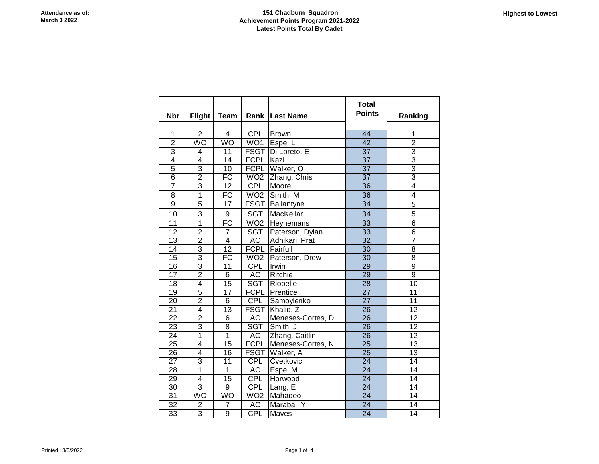## **151 Chadburn Squadron Achievement Points Program 2021-2022 Latest Points Total By Cadet**

| <b>Nbr</b>      | <b>Flight</b>  | <b>Team</b>     |                 | Rank Last Name               | <b>Total</b><br><b>Points</b> | Ranking         |
|-----------------|----------------|-----------------|-----------------|------------------------------|-------------------------------|-----------------|
|                 |                |                 |                 |                              |                               |                 |
| $\overline{1}$  | $\overline{2}$ | $\overline{4}$  | CPL             | <b>Brown</b>                 | 44                            | 1               |
| $\overline{2}$  | <b>WO</b>      | WO              | WO1             | Espe, L                      | $\overline{42}$               | $\overline{2}$  |
| 3               | 4              | 11              |                 | FSGT Di Loreto, E            | $\overline{37}$               | $\overline{3}$  |
| $\overline{4}$  | $\overline{4}$ | $\overline{14}$ | FCPL Kazi       |                              | $\overline{37}$               | $\overline{3}$  |
| 5               | $\overline{3}$ | 10              |                 | FCPL Walker, O               | $\overline{37}$               | 3               |
| $\overline{6}$  | $\overline{2}$ | $\overline{FC}$ |                 | WO <sub>2</sub> Zhang, Chris | $\overline{37}$               | $\overline{3}$  |
| 7               | $\overline{3}$ | $\overline{12}$ | CPL             | Moore                        | $\overline{36}$               | 4               |
| 8               | $\overline{1}$ | $\overline{FC}$ | WO <sub>2</sub> | Smith, M                     | 36                            | 4               |
| $\overline{9}$  | $\overline{5}$ | $\overline{17}$ | <b>FSGT</b>     | Ballantyne                   | $\overline{34}$               | $\overline{5}$  |
| 10              | 3              | 9               | <b>SGT</b>      | MacKellar                    | 34                            | 5               |
| $\overline{11}$ | $\overline{1}$ | $\overline{FC}$ | WO2             | Heynemans                    | 33                            | $\overline{6}$  |
| 12              | $\overline{2}$ | 7               | SGT             | Paterson, Dylan              | $\overline{33}$               | $\overline{6}$  |
| 13              | $\overline{2}$ | 4               | AC              | Adhikari, Prat               | $\overline{32}$               | 7               |
| 14              | $\overline{3}$ | $\overline{12}$ |                 | <b>FCPL</b> Fairfull         | $\overline{30}$               | $\overline{8}$  |
| $\overline{15}$ | $\overline{3}$ | <b>FC</b>       |                 | WO2 Paterson, Drew           | $\overline{30}$               | $\overline{8}$  |
| $\overline{16}$ | $\overline{3}$ | 11              | CPL             | Irwin                        | 29                            | $\overline{9}$  |
| 17              | $\overline{2}$ | 6               | <b>AC</b>       | Ritchie                      | $\overline{29}$               | $\overline{9}$  |
| 18              | $\overline{4}$ | $\overline{15}$ | <b>SGT</b>      | Riopelle                     | $\overline{28}$               | $\overline{10}$ |
| 19              | $\overline{5}$ | 17              |                 | <b>FCPL</b> Prentice         | $\overline{27}$               | 11              |
| 20              | $\overline{2}$ | 6               | <b>CPL</b>      | Samoylenko                   | $\overline{27}$               | 11              |
| $\overline{21}$ | 4              | $\overline{13}$ |                 | FSGT Khalid, Z               | $\overline{26}$               | $\overline{12}$ |
| $\overline{22}$ | $\overline{2}$ | 6               | AC              | Meneses-Cortes, D            | $\overline{26}$               | $\overline{12}$ |
| $\overline{23}$ | 3              | $\overline{8}$  | <b>SGT</b>      | Smith, J                     | $\overline{26}$               | $\overline{12}$ |
| $\overline{24}$ | $\overline{1}$ | $\overline{1}$  | AC              | Zhang, Caitlin               | $\overline{26}$               | $\overline{12}$ |
| $\overline{25}$ | 4              | $\overline{15}$ |                 | FCPL Meneses-Cortes, N       | $\overline{25}$               | $\overline{13}$ |
| 26              | 4              | 16              |                 | FSGT Walker, A               | $\overline{25}$               | $\overline{13}$ |
| 27              | 3              | 11              | CPL             | Cvetkovic                    | $\overline{24}$               | 14              |
| 28              | $\overline{1}$ | $\overline{1}$  | AC              | Espe, M                      | $\overline{24}$               | 14              |
| 29              | $\overline{4}$ | 15              | <b>CPL</b>      | Horwood                      | $\overline{24}$               | 14              |
| 30              | $\overline{3}$ | 9               | CPL             | Lang, E                      | $\overline{24}$               | 14              |
| $\overline{31}$ | <b>WO</b>      | WO              | WO2             | Mahadeo                      | $\overline{24}$               | $\overline{14}$ |
| $\overline{32}$ | $\overline{2}$ | 7               | AC              | Marabai, Y                   | $\overline{24}$               | 14              |
| 33              | 3              | $\overline{9}$  | CPL             | Maves                        | $\overline{24}$               | $\overline{14}$ |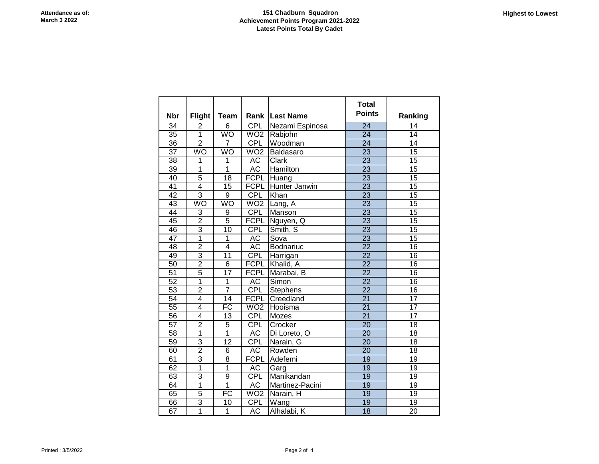## **151 Chadburn Squadron Achievement Points Program 2021-2022 Latest Points Total By Cadet**

|                 |                |                 |                         |                       | <b>Total</b>    |                 |
|-----------------|----------------|-----------------|-------------------------|-----------------------|-----------------|-----------------|
| <b>Nbr</b>      | <b>Flight</b>  | <b>Team</b>     |                         | <b>Rank Last Name</b> | <b>Points</b>   | Ranking         |
| 34              | 2              | 6               | <b>CPL</b>              | Nezami Espinosa       | 24              | 14              |
| $\overline{35}$ | $\overline{1}$ | <b>WO</b>       | WO2                     | Rabjohn               | $\overline{24}$ | $\overline{14}$ |
| 36              | $\overline{2}$ | $\overline{7}$  | <b>CPL</b>              | Woodman               | $\overline{24}$ | $\overline{14}$ |
| $\overline{37}$ | WO             | WO              | WO <sub>2</sub>         | Baldasaro             | $\overline{23}$ | $\overline{15}$ |
| 38              | 1              | 1               | <b>AC</b>               | Clark                 | $\overline{23}$ | $\overline{15}$ |
| 39              | $\overline{1}$ | $\overline{1}$  | <b>AC</b>               | <b>Hamilton</b>       | $\overline{23}$ | $\overline{15}$ |
| 40              | $\overline{5}$ | $\overline{18}$ | <b>FCPL</b>             | Huang                 | $\overline{23}$ | 15              |
| 41              | $\overline{4}$ | $\overline{15}$ | <b>FCPL</b>             | Hunter Janwin         | $\overline{23}$ | $\overline{15}$ |
| 42              | 3              | $\overline{9}$  | <b>CPL</b>              | Khan                  | 23              | 15              |
| 43              | WO             | WO              | WO <sub>2</sub>         | Lang, A               | $\overline{23}$ | 15              |
| $\overline{44}$ | 3              | $\overline{9}$  | <b>CPL</b>              | Manson                | $\overline{23}$ | 15              |
| 45              | $\overline{2}$ | 5               | <b>FCPL</b>             | Nguyen, Q             | $\overline{23}$ | $\overline{15}$ |
| 46              | $\overline{3}$ | $\overline{10}$ | <b>CPL</b>              | Smith, S              | $\overline{23}$ | $\overline{15}$ |
| $\overline{47}$ | $\overline{1}$ | 1               | <b>AC</b>               | Sova                  | $\overline{23}$ | $\overline{15}$ |
| 48              | $\overline{2}$ | $\overline{4}$  | AC                      | Bodnariuc             | $\overline{22}$ | $\overline{16}$ |
| 49              | $\overline{3}$ | $\overline{11}$ | <b>CPL</b>              | Harrigan              | $\overline{22}$ | 16              |
| 50              | $\overline{2}$ | $\overline{6}$  | <b>FCPL</b>             | Khalid, A             | $\overline{22}$ | 16              |
| $\overline{51}$ | $\overline{5}$ | $\overline{17}$ | <b>FCPL</b>             | Marabai, B            | $\overline{22}$ | $\overline{16}$ |
| $\overline{52}$ | 1              | $\mathbf{1}$    | AC                      | Simon                 | $\overline{22}$ | 16              |
| 53              | $\overline{2}$ | 7               | <b>CPL</b>              | Stephens              | $\overline{22}$ | $\overline{16}$ |
| $\overline{54}$ | 4              | 14              | <b>FCPL</b>             | Creedland             | $\overline{21}$ | $\overline{17}$ |
| $\overline{55}$ | 4              | $\overline{FC}$ | WO <sub>2</sub>         | Hooisma               | $\overline{21}$ | $\overline{17}$ |
| 56              | 4              | 13              | <b>CPL</b>              | Mozes                 | $\overline{21}$ | $\overline{17}$ |
| $\overline{57}$ | $\overline{2}$ | $\overline{5}$  | <b>CPL</b>              | Crocker               | $\overline{20}$ | $\overline{18}$ |
| $\overline{58}$ | 1              | $\overline{1}$  | AC                      | Di Loreto, O          | $\overline{20}$ | $\overline{18}$ |
| 59              | 3              | $\overline{12}$ | CPL                     | Narain, G             | $\overline{20}$ | 18              |
| 60              | $\overline{2}$ | 6               | AC                      | Rowden                | $\overline{20}$ | 18              |
| 61              | 3              | $\overline{8}$  | <b>FCPL</b>             | Adefemi               | 19              | 19              |
| 62              | $\overline{1}$ | $\overline{1}$  | AC                      | Garg                  | 19              | 19              |
| 63              | $\overline{3}$ | $\overline{9}$  | <b>CPL</b>              | Manikandan            | $\overline{19}$ | $\overline{19}$ |
| 64              | $\overline{1}$ | 1               | AC                      | Martinez-Pacini       | 19              | $\overline{19}$ |
| 65              | $\overline{5}$ | $\overline{FC}$ | $\overline{\text{WO2}}$ | Narain, H             | 19              | $\overline{19}$ |
| 66              | 3              | $\overline{10}$ | <b>CPL</b>              | Wang                  | 19              | $\overline{19}$ |
| 67              | $\overline{1}$ | $\overline{1}$  | <b>AC</b>               | Alhalabi, K           | $\overline{18}$ | 20              |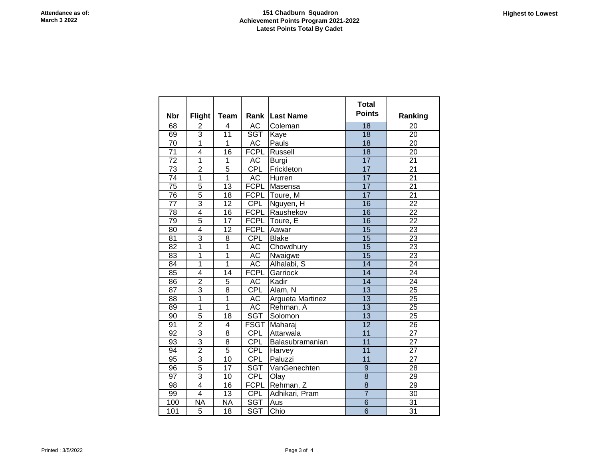|                 |                |                         |             |                       | <b>Total</b>    |                 |
|-----------------|----------------|-------------------------|-------------|-----------------------|-----------------|-----------------|
| <b>Nbr</b>      | Flight         | Team                    |             | <b>Rank Last Name</b> | <b>Points</b>   | Ranking         |
| 68              |                | 4                       | AC          | Coleman               | 18              | 20              |
| 69              | $\frac{2}{3}$  | $\overline{11}$         | <b>SGT</b>  | Kaye                  | $\overline{18}$ | $\overline{20}$ |
| $\overline{70}$ | $\overline{1}$ | 1                       | <b>AC</b>   | Pauls                 | $\overline{18}$ | $\overline{20}$ |
| $\overline{71}$ | $\overline{4}$ | $\overline{16}$         | <b>FCPL</b> | Russell               | $\overline{18}$ | $\overline{20}$ |
| $\overline{72}$ | $\overline{1}$ | 1                       | AC          | Burgi                 | $\overline{17}$ | $\overline{21}$ |
| $\overline{73}$ | $\overline{2}$ | 5                       | <b>CPL</b>  | Frickleton            | $\overline{17}$ | $\overline{21}$ |
| $\overline{74}$ | $\overline{1}$ | $\overline{1}$          | <b>AC</b>   | Hurren                | $\overline{17}$ | $\overline{21}$ |
| $\overline{75}$ | $\overline{5}$ | $\overline{13}$         | <b>FCPL</b> | Masensa               | $\overline{17}$ | $\overline{21}$ |
| $\overline{76}$ | $\overline{5}$ | $\overline{18}$         | <b>FCPL</b> | Toure, M              | $\overline{17}$ | $\overline{21}$ |
| $\overline{77}$ | $\overline{3}$ | 12                      | CPL         | Nguyen, H             | $\overline{16}$ | $\overline{22}$ |
| 78              | $\overline{4}$ | $\overline{16}$         | <b>FCPL</b> | Raushekov             | 16              | $\overline{22}$ |
| $\overline{79}$ | $\overline{5}$ | $\overline{17}$         | <b>FCPL</b> | Toure, E              | 16              | $\overline{22}$ |
| 80              | $\overline{4}$ | 12                      | <b>FCPL</b> | Aawar                 | $\overline{15}$ | $\overline{23}$ |
| $\overline{81}$ | 3              | $\overline{8}$          | <b>CPL</b>  | <b>Blake</b>          | $\overline{15}$ | 23              |
| $\overline{82}$ | $\overline{1}$ | 1                       | AC          | Chowdhury             | $\overline{15}$ | $\overline{23}$ |
| $\overline{83}$ | $\overline{1}$ | $\overline{1}$          | AC          | Nwaigwe               | $\overline{15}$ | $\overline{23}$ |
| 84              | 1              | 1                       | AC          | Alhalabi, S           | $\overline{14}$ | $\overline{24}$ |
| 85              | $\overline{4}$ | 14                      | <b>FCPL</b> | Garriock              | $\overline{14}$ | $\overline{24}$ |
| $\overline{86}$ | $\overline{2}$ | 5                       | AC          | Kadir                 | $\overline{14}$ | $\overline{24}$ |
| $\overline{87}$ | 3              | $\overline{8}$          | CPL         | Alam, $\overline{N}$  | $\overline{13}$ | $\overline{25}$ |
| 88              | $\overline{1}$ | 1                       | AC          | Argueta Martinez      | $\overline{13}$ | 25              |
| 89              | $\overline{1}$ | 1                       | AC          | Rehman, A             | $\overline{13}$ | $\overline{25}$ |
| $\overline{90}$ | $\overline{5}$ | 18                      | <b>SGT</b>  | Solomon               | $\overline{13}$ | $\overline{25}$ |
| 91              | $\overline{2}$ | $\overline{\mathbf{4}}$ | <b>FSGT</b> | Maharaj               | $\overline{12}$ | $\overline{26}$ |
| $\overline{92}$ | 3              | $\overline{8}$          | CPL         | Attarwala             | $\overline{11}$ | $\overline{27}$ |
| 93              | $\overline{3}$ | $\overline{8}$          | CPL         | Balasubramanian       | 11              | 27              |
| 94              | $\overline{2}$ | $\overline{5}$          | CPL         | Harvey                | 11              | $\overline{27}$ |
| $\overline{95}$ | $\overline{3}$ | 10                      | <b>CPL</b>  | Paluzzi               | 11              | $\overline{27}$ |
| 96              | $\overline{5}$ | $\overline{17}$         | <b>SGT</b>  | VanGenechten          | $\overline{9}$  | $\overline{28}$ |
| 97              | 3              | 10                      | <b>CPL</b>  | Olay                  | $\overline{8}$  | 29              |
| 98              | $\overline{4}$ | $\overline{16}$         | <b>FCPL</b> | Rehman, Z             | $\overline{8}$  | $\overline{29}$ |
| 99              | $\overline{4}$ | $\overline{13}$         | <b>CPL</b>  | Adhikari, Pram        | $\overline{7}$  | $\overline{30}$ |
| 100             | <b>NA</b>      | <b>NA</b>               | <b>SGT</b>  | Aus                   | 6               | 31              |
| 101             | 5              | 18                      | <b>SGT</b>  | Chio                  | $\overline{6}$  | 31              |